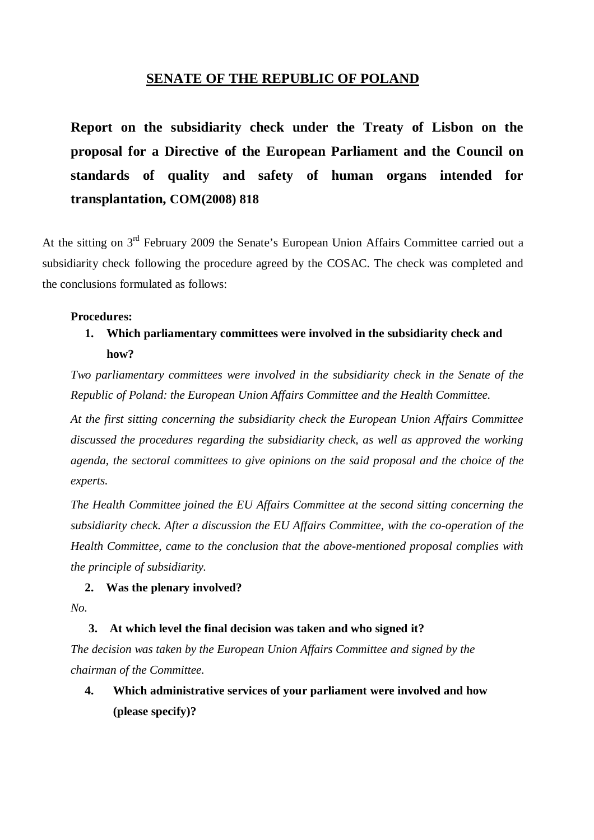## **SENATE OF THE REPUBLIC OF POLAND**

**Report on the subsidiarity check under the Treaty of Lisbon on the proposal for a Directive of the European Parliament and the Council on standards of quality and safety of human organs intended for transplantation, COM(2008) 818**

At the sitting on 3<sup>rd</sup> February 2009 the Senate's European Union Affairs Committee carried out a subsidiarity check following the procedure agreed by the COSAC. The check was completed and the conclusions formulated as follows:

### **Procedures:**

## **1. Which parliamentary committees were involved in the subsidiarity check and how?**

*Two parliamentary committees were involved in the subsidiarity check in the Senate of the Republic of Poland: the European Union Affairs Committee and the Health Committee.* 

*At the first sitting concerning the subsidiarity check the European Union Affairs Committee discussed the procedures regarding the subsidiarity check, as well as approved the working agenda, the sectoral committees to give opinions on the said proposal and the choice of the experts.* 

*The Health Committee joined the EU Affairs Committee at the second sitting concerning the subsidiarity check. After a discussion the EU Affairs Committee, with the co-operation of the Health Committee, came to the conclusion that the above-mentioned proposal complies with the principle of subsidiarity.* 

### **2. Was the plenary involved?**

*No.* 

### **3. At which level the final decision was taken and who signed it?**

*The decision was taken by the European Union Affairs Committee and signed by the chairman of the Committee.* 

**4. Which administrative services of your parliament were involved and how (please specify)?**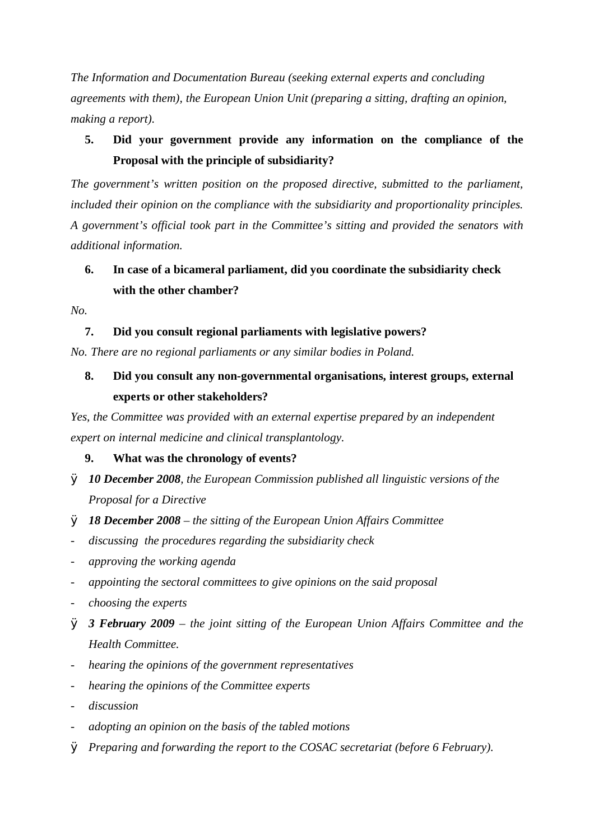*The Information and Documentation Bureau (seeking external experts and concluding agreements with them), the European Union Unit (preparing a sitting, drafting an opinion, making a report).* 

## **5. Did your government provide any information on the compliance of the Proposal with the principle of subsidiarity?**

*The government's written position on the proposed directive, submitted to the parliament, included their opinion on the compliance with the subsidiarity and proportionality principles. A government's official took part in the Committee's sitting and provided the senators with additional information.* 

# **6. In case of a bicameral parliament, did you coordinate the subsidiarity check with the other chamber?**

*No.* 

### **7. Did you consult regional parliaments with legislative powers?**

*No. There are no regional parliaments or any similar bodies in Poland.* 

# **8. Did you consult any non-governmental organisations, interest groups, external experts or other stakeholders?**

*Yes, the Committee was provided with an external expertise prepared by an independent expert on internal medicine and clinical transplantology.* 

### **9. What was the chronology of events?**

- Ø *10 December 2008, the European Commission published all linguistic versions of the Proposal for a Directive*
- Ø *18 December 2008 – the sitting of the European Union Affairs Committee*
- *discussing the procedures regarding the subsidiarity check*
- *approving the working agenda*
- *appointing the sectoral committees to give opinions on the said proposal*
- *choosing the experts*
- Ø *3 February 2009 – the joint sitting of the European Union Affairs Committee and the Health Committee.*
- *hearing the opinions of the government representatives*
- *hearing the opinions of the Committee experts*
- *discussion*
- *adopting an opinion on the basis of the tabled motions*
- Ø *Preparing and forwarding the report to the COSAC secretariat (before 6 February).*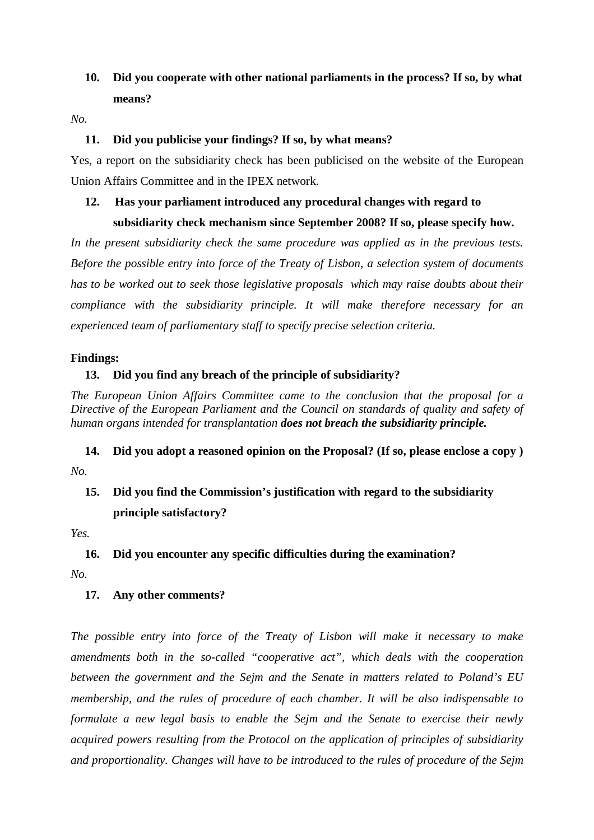## **10. Did you cooperate with other national parliaments in the process? If so, by what means?**

*No.* 

### **11. Did you publicise your findings? If so, by what means?**

Yes, a report on the subsidiarity check has been publicised on the website of the European Union Affairs Committee and in the IPEX network.

### **12. Has your parliament introduced any procedural changes with regard to**

### **subsidiarity check mechanism since September 2008? If so, please specify how.**

*In the present subsidiarity check the same procedure was applied as in the previous tests. Before the possible entry into force of the Treaty of Lisbon, a selection system of documents has to be worked out to seek those legislative proposals which may raise doubts about their compliance with the subsidiarity principle. It will make therefore necessary for an experienced team of parliamentary staff to specify precise selection criteria.* 

### **Findings:**

### **13. Did you find any breach of the principle of subsidiarity?**

*The European Union Affairs Committee came to the conclusion that the proposal for a Directive of the European Parliament and the Council on standards of quality and safety of human organs intended for transplantation does not breach the subsidiarity principle.* 

**14. Did you adopt a reasoned opinion on the Proposal? (If so, please enclose a copy )**  *No.* 

# **15. Did you find the Commission's justification with regard to the subsidiarity principle satisfactory?**

*Yes.* 

### **16. Did you encounter any specific difficulties during the examination?**

*No.* 

### **17. Any other comments?**

*The possible entry into force of the Treaty of Lisbon will make it necessary to make amendments both in the so-called "cooperative act", which deals with the cooperation between the government and the Sejm and the Senate in matters related to Poland's EU membership, and the rules of procedure of each chamber. It will be also indispensable to formulate a new legal basis to enable the Sejm and the Senate to exercise their newly acquired powers resulting from the Protocol on the application of principles of subsidiarity and proportionality. Changes will have to be introduced to the rules of procedure of the Sejm*